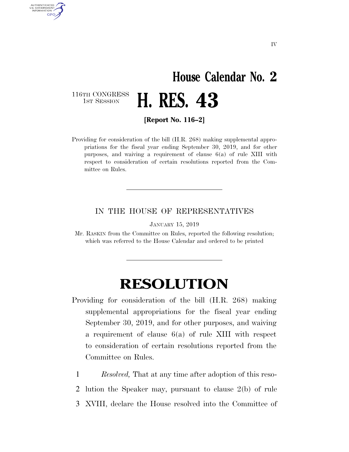## **House Calendar No. 2**  H. RES. 43

116TH CONGRESS<br>1st Session

AUTHENTICATED U.S. GOVERNMENT **GPO** 

**[Report No. 116–2]** 

Providing for consideration of the bill (H.R. 268) making supplemental appropriations for the fiscal year ending September 30, 2019, and for other purposes, and waiving a requirement of clause 6(a) of rule XIII with respect to consideration of certain resolutions reported from the Committee on Rules.

## IN THE HOUSE OF REPRESENTATIVES

JANUARY 15, 2019

Mr. RASKIN from the Committee on Rules, reported the following resolution; which was referred to the House Calendar and ordered to be printed

## **RESOLUTION**

- Providing for consideration of the bill (H.R. 268) making supplemental appropriations for the fiscal year ending September 30, 2019, and for other purposes, and waiving a requirement of clause 6(a) of rule XIII with respect to consideration of certain resolutions reported from the Committee on Rules.
	- 1 *Resolved,* That at any time after adoption of this reso-
	- 2 lution the Speaker may, pursuant to clause 2(b) of rule
	- 3 XVIII, declare the House resolved into the Committee of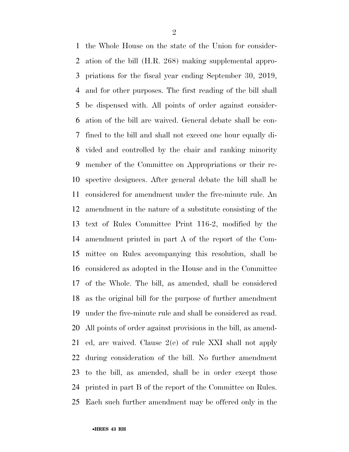the Whole House on the state of the Union for consider- ation of the bill (H.R. 268) making supplemental appro- priations for the fiscal year ending September 30, 2019, and for other purposes. The first reading of the bill shall be dispensed with. All points of order against consider- ation of the bill are waived. General debate shall be con- fined to the bill and shall not exceed one hour equally di- vided and controlled by the chair and ranking minority member of the Committee on Appropriations or their re- spective designees. After general debate the bill shall be considered for amendment under the five-minute rule. An amendment in the nature of a substitute consisting of the text of Rules Committee Print 116-2, modified by the amendment printed in part A of the report of the Com- mittee on Rules accompanying this resolution, shall be considered as adopted in the House and in the Committee of the Whole. The bill, as amended, shall be considered as the original bill for the purpose of further amendment under the five-minute rule and shall be considered as read. All points of order against provisions in the bill, as amend- ed, are waived. Clause 2(e) of rule XXI shall not apply during consideration of the bill. No further amendment to the bill, as amended, shall be in order except those printed in part B of the report of the Committee on Rules. Each such further amendment may be offered only in the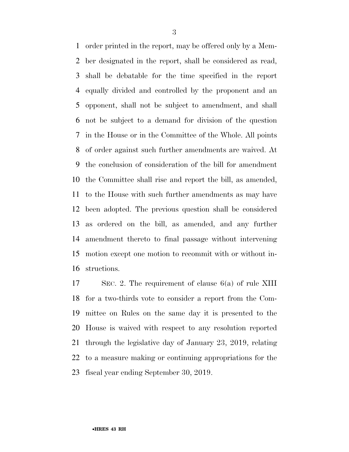order printed in the report, may be offered only by a Mem- ber designated in the report, shall be considered as read, shall be debatable for the time specified in the report equally divided and controlled by the proponent and an opponent, shall not be subject to amendment, and shall not be subject to a demand for division of the question in the House or in the Committee of the Whole. All points of order against such further amendments are waived. At the conclusion of consideration of the bill for amendment the Committee shall rise and report the bill, as amended, to the House with such further amendments as may have been adopted. The previous question shall be considered as ordered on the bill, as amended, and any further amendment thereto to final passage without intervening motion except one motion to recommit with or without in-structions.

 SEC. 2. The requirement of clause 6(a) of rule XIII for a two-thirds vote to consider a report from the Com- mittee on Rules on the same day it is presented to the House is waived with respect to any resolution reported through the legislative day of January 23, 2019, relating to a measure making or continuing appropriations for the fiscal year ending September 30, 2019.